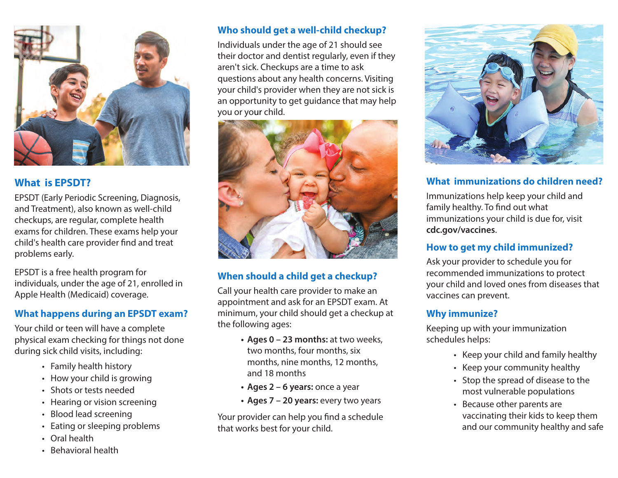

### **What is EPSDT?**

EPSDT (Early Periodic Screening, Diagnosis, and Treatment), also known as well-child checkups, are regular, complete health exams for children. These exams help your child's health care provider find and treat problems early.

EPSDT is a free health program for individuals, under the age of 21, enrolled in Apple Health (Medicaid) coverage.

#### **What happens during an EPSDT exam?**

Your child or teen will have a complete physical exam checking for things not done during sick child visits, including:

- Family health history
- How your child is growing
- Shots or tests needed
- Hearing or vision screening
- Blood lead screening
- Eating or sleeping problems
- Oral health
- Behavioral health

### **Who should get a well-child checkup?**

Individuals under the age of 21 should see their doctor and dentist regularly, even if they aren't sick. Checkups are a time to ask questions about any health concerns. Visiting your child's provider when they are not sick is an opportunity to get guidance that may help you or your child.



### **When should a child get a checkup?**

Call your health care provider to make an appointment and ask for an EPSDT exam. At minimum, your child should get a checkup at the following ages:

- **Ages 0 23 months:** at two weeks, two months, four months, six months, nine months, 12 months, and 18 months
- **Ages 2 6 years:** once a year
- **Ages 7 20 years:** every two years

Your provider can help you find a schedule that works best for your child.



### **What immunizations do children need?**

Immunizations help keep your child and family healthy. To find out what immunizations your child is due for, visit **[cdc.gov/vaccines](www.cdc.gov/vaccines)**.

### **How to get my child immunized?**

Ask your provider to schedule you for recommended immunizations to protect your child and loved ones from diseases that vaccines can prevent.

#### **Why immunize?**

Keeping up with your immunization schedules helps:

- Keep your child and family healthy
- Keep your community healthy
- Stop the spread of disease to the most vulnerable populations
- Because other parents are vaccinating their kids to keep them and our community healthy and safe